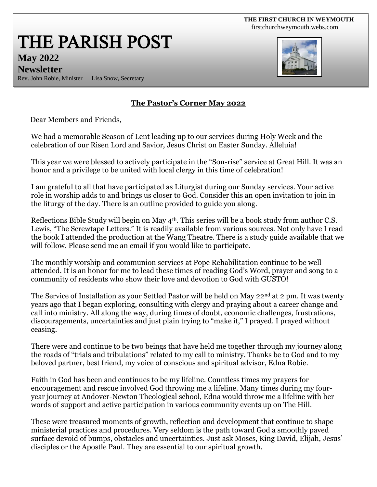#### **THE FIRST CHURCH IN WEYMOUTH**  [firstchurchweymouth.webs.com](http://firstchurchweymouth.webs.com/)

THE PARISH POST

**May 2022 Newsletter**

Rev. John Robie, Minister Lisa Snow, Secretary



### **The Pastor's Corner May 2022**

Dear Members and Friends,

We had a memorable Season of Lent leading up to our services during Holy Week and the celebration of our Risen Lord and Savior, Jesus Christ on Easter Sunday. Alleluia!

This year we were blessed to actively participate in the "Son-rise" service at Great Hill. It was an honor and a privilege to be united with local clergy in this time of celebration!

I am grateful to all that have participated as Liturgist during our Sunday services. Your active role in worship adds to and brings us closer to God. Consider this an open invitation to join in the liturgy of the day. There is an outline provided to guide you along.

Reflections Bible Study will begin on May 4<sup>th</sup>. This series will be a book study from author C.S. Lewis, "The Screwtape Letters." It is readily available from various sources. Not only have I read the book I attended the production at the Wang Theatre. There is a study guide available that we will follow. Please send me an email if you would like to participate.

The monthly worship and communion services at Pope Rehabilitation continue to be well attended. It is an honor for me to lead these times of reading God's Word, prayer and song to a community of residents who show their love and devotion to God with GUSTO!

The Service of Installation as your Settled Pastor will be held on May 22<sup>nd</sup> at 2 pm. It was twenty years ago that I began exploring, consulting with clergy and praying about a career change and call into ministry. All along the way, during times of doubt, economic challenges, frustrations, discouragements, uncertainties and just plain trying to "make it," I prayed. I prayed without ceasing.

There were and continue to be two beings that have held me together through my journey along the roads of "trials and tribulations" related to my call to ministry. Thanks be to God and to my beloved partner, best friend, my voice of conscious and spiritual advisor, Edna Robie.

Faith in God has been and continues to be my lifeline. Countless times my prayers for encouragement and rescue involved God throwing me a lifeline. Many times during my fouryear journey at Andover-Newton Theological school, Edna would throw me a lifeline with her words of support and active participation in various community events up on The Hill.

These were treasured moments of growth, reflection and development that continue to shape ministerial practices and procedures. Very seldom is the path toward God a smoothly paved surface devoid of bumps, obstacles and uncertainties. Just ask Moses, King David, Elijah, Jesus' disciples or the Apostle Paul. They are essential to our spiritual growth.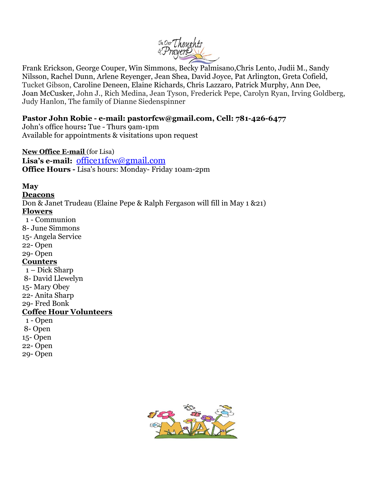

Frank Erickson, George Couper, Win Simmons, Becky Palmisano,Chris Lento, Judii M., Sandy Nilsson, Rachel Dunn, Arlene Reyenger, Jean Shea, David Joyce, Pat Arlington, Greta Cofield, Tucket Gibson, Caroline Deneen, Elaine Richards, Chris Lazzaro, Patrick Murphy, Ann Dee, Joan McCusker, John J., Rich Medina, Jean Tyson, Frederick Pepe, Carolyn Ryan, Irving Goldberg, Judy Hanlon, The family of Dianne Siedenspinner

#### **Pastor John Robie - e-mail: pastorfcw@gmail.com, Cell: 781-426-6477**

John's office hours**:** Tue - Thurs 9am-1pm Available for appointments & visitations upon request

#### **New Office E-mail** (for Lisa)

**Lisa's e-mail:** [office11fcw@gmail.com](mailto:office11fcw@gmail.com) **Office Hours -** Lisa's hours: Monday- Friday 10am-2pm

#### **May**

**Deacons** Don & Janet Trudeau (Elaine Pepe & Ralph Fergason will fill in May 1 &21) **Flowers** 1 - Communion 8- June Simmons 15- Angela Service 22- Open 29- Open **Counters** 1 – Dick Sharp 8- David Llewelyn 15- Mary Obey 22- Anita Sharp 29- Fred Bonk **Coffee Hour Volunteers** 1 - Open 8- Open 15- Open 22- Open 29- Open

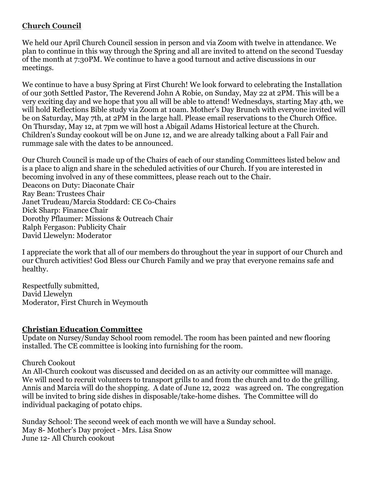## **Church Council**

We held our April Church Council session in person and via Zoom with twelve in attendance. We plan to continue in this way through the Spring and all are invited to attend on the second Tuesday of the month at 7:30PM. We continue to have a good turnout and active discussions in our meetings.

We continue to have a busy Spring at First Church! We look forward to celebrating the Installation of our 30th Settled Pastor, The Reverend John A Robie, on Sunday, May 22 at 2PM. This will be a very exciting day and we hope that you all will be able to attend! Wednesdays, starting May 4th, we will hold Reflections Bible study via Zoom at 10am. Mother's Day Brunch with everyone invited will be on Saturday, May 7th, at 2PM in the large hall. Please email reservations to the Church Office. On Thursday, May 12, at 7pm we will host a Abigail Adams Historical lecture at the Church. Children's Sunday cookout will be on June 12, and we are already talking about a Fall Fair and rummage sale with the dates to be announced.

Our Church Council is made up of the Chairs of each of our standing Committees listed below and is a place to align and share in the scheduled activities of our Church. If you are interested in becoming involved in any of these committees, please reach out to the Chair. Deacons on Duty: Diaconate Chair Ray Bean: Trustees Chair Janet Trudeau/Marcia Stoddard: CE Co-Chairs Dick Sharp: Finance Chair Dorothy Pflaumer: Missions & Outreach Chair Ralph Fergason: Publicity Chair David Llewelyn: Moderator

I appreciate the work that all of our members do throughout the year in support of our Church and our Church activities! God Bless our Church Family and we pray that everyone remains safe and healthy.

Respectfully submitted, David Llewelyn Moderator, First Church in Weymouth

#### **Christian Education Committee**

Update on Nursey/Sunday School room remodel. The room has been painted and new flooring installed. The CE committee is looking into furnishing for the room.

Church Cookout

An All-Church cookout was discussed and decided on as an activity our committee will manage. We will need to recruit volunteers to transport grills to and from the church and to do the grilling. Annis and Marcia will do the shopping. A date of June 12, 2022 was agreed on. The congregation will be invited to bring side dishes in disposable/take-home dishes. The Committee will do individual packaging of potato chips.

Sunday School: The second week of each month we will have a Sunday school. May 8- Mother's Day project - Mrs. Lisa Snow June 12- All Church cookout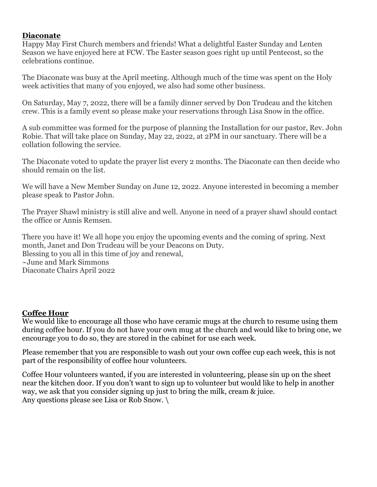#### **Diaconate**

Happy May First Church members and friends! What a delightful Easter Sunday and Lenten Season we have enjoyed here at FCW. The Easter season goes right up until Pentecost, so the celebrations continue.

The Diaconate was busy at the April meeting. Although much of the time was spent on the Holy week activities that many of you enjoyed, we also had some other business.

On Saturday, May 7, 2022, there will be a family dinner served by Don Trudeau and the kitchen crew. This is a family event so please make your reservations through Lisa Snow in the office.

A sub committee was formed for the purpose of planning the Installation for our pastor, Rev. John Robie. That will take place on Sunday, May 22, 2022, at 2PM in our sanctuary. There will be a collation following the service.

The Diaconate voted to update the prayer list every 2 months. The Diaconate can then decide who should remain on the list.

We will have a New Member Sunday on June 12, 2022. Anyone interested in becoming a member please speak to Pastor John.

The Prayer Shawl ministry is still alive and well. Anyone in need of a prayer shawl should contact the office or Annis Remsen.

There you have it! We all hope you enjoy the upcoming events and the coming of spring. Next month, Janet and Don Trudeau will be your Deacons on Duty. Blessing to you all in this time of joy and renewal, ~June and Mark Simmons Diaconate Chairs April 2022

#### **Coffee Hour**

We would like to encourage all those who have ceramic mugs at the church to resume using them during coffee hour. If you do not have your own mug at the church and would like to bring one, we encourage you to do so, they are stored in the cabinet for use each week.

Please remember that you are responsible to wash out your own coffee cup each week, this is not part of the responsibility of coffee hour volunteers.

Coffee Hour volunteers wanted, if you are interested in volunteering, please sin up on the sheet near the kitchen door. If you don't want to sign up to volunteer but would like to help in another way, we ask that you consider signing up just to bring the milk, cream & juice. Any questions please see Lisa or Rob Snow. \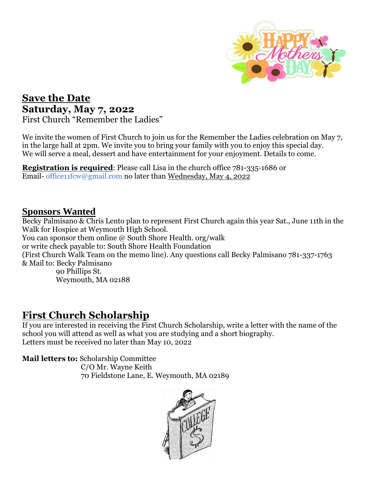

# **Save the Date Saturday, May 7, 2022** First Church "Remember the Ladies"

We invite the women of First Church to join us for the Remember the Ladies celebration on May 7, in the large hall at 2pm. We invite you to bring your family with you to enjoy this special day. We will serve a meal, dessert and have entertainment for your enjoyment. Details to come.

**Registration is required**: Please call Lisa in the church office 781-335-1686 or Email- office11fcw@gmail.com no later than Wednesday, May 4, 2022

## **Sponsors Wanted**

Becky Palmisano & Chris Lento plan to represent First Church again this year Sat., June 11th in the Walk for Hospice at Weymouth High School. You can sponsor them online  $\omega$  South Shore Health. org/walk or write check payable to: South Shore Health Foundation (First Church Walk Team on the memo line). Any questions call Becky Palmisano 781-337-1763 & Mail to: Becky Palmisano 90 Phillips St.

Weymouth, MA 02188

# **First Church Scholarship**

If you are interested in receiving the First Church Scholarship, write a letter with the name of the school you will attend as well as what you are studying and a short biography. Letters must be received no later than May 10, 2022

**Mail letters to:** Scholarship Committee

 C/O Mr. Wayne Keith 70 Fieldstone Lane, E. Weymouth, MA 02189

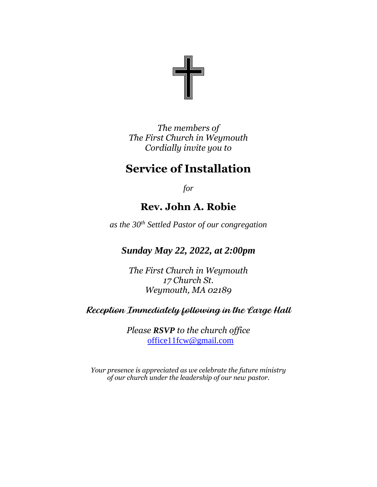

*The members of The First Church in Weymouth Cordially invite you to* 

# **Service of Installation**

*for*

# **Rev. John A. Robie**

*as the 30th Settled Pastor of our congregation*

*Sunday May 22, 2022, at 2:00pm*

*The First Church in Weymouth 17 Church St. Weymouth, MA 02189*

# Reception Immediately following in the Large Hall

*Please RSVP to the church office* [office11fcw@gmail.com](mailto:office11fcw@gmail.com)

*Your presence is appreciated as we celebrate the future ministry of our church under the leadership of our new pastor.*